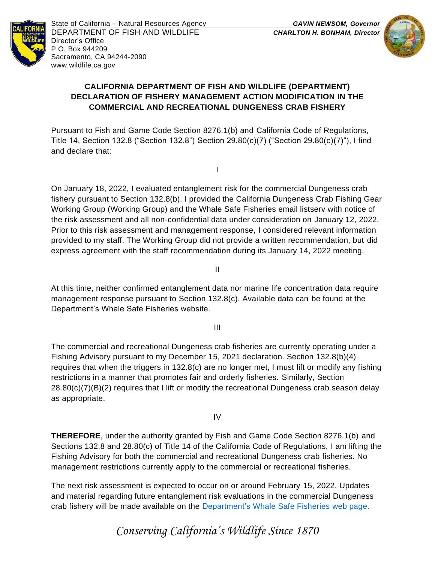

State of California – Natural Resources Agency *GAVIN NEWSOM, Governor* DEPARTMENT OF FISH AND WILDLIFE *CHARLTON H. BONHAM, Director*  Director's Office P.O. Box 944209 Sacramento, CA 94244-2090 www.wildlife.ca.gov



## **CALIFORNIA DEPARTMENT OF FISH AND WILDLIFE (DEPARTMENT) DECLARATION OF FISHERY MANAGEMENT ACTION MODIFICATION IN THE COMMERCIAL AND RECREATIONAL DUNGENESS CRAB FISHERY**

Pursuant to Fish and Game Code Section 8276.1(b) and California Code of Regulations, Title 14, Section 132.8 ("Section 132.8") Section 29.80(c)(7) ("Section 29.80(c)(7)"), I find and declare that:

On January 18, 2022, I evaluated entanglement risk for the commercial Dungeness crab fishery pursuant to Section 132.8(b). I provided the California Dungeness Crab Fishing Gear Working Group (Working Group) and the Whale Safe Fisheries email listserv with notice of the risk assessment and all non-confidential data under consideration on January 12, 2022. Prior to this risk assessment and management response, I considered relevant information provided to my staff. The Working Group did not provide a written recommendation, but did express agreement with the staff recommendation during its January 14, 2022 meeting.

I

At this time, neither confirmed entanglement data nor marine life concentration data require management response pursuant to Section 132.8(c). Available data can be found at the Department's Whale Safe Fisheries website.

II

III

The commercial and recreational Dungeness crab fisheries are currently operating under a Fishing Advisory pursuant to my December 15, 2021 declaration. Section 132.8(b)(4) requires that when the triggers in 132.8(c) are no longer met, I must lift or modify any fishing restrictions in a manner that promotes fair and orderly fisheries. Similarly, Section  $28.80(c)(7)(B)(2)$  requires that I lift or modify the recreational Dungeness crab season delay as appropriate.

IV

**THEREFORE**, under the authority granted by Fish and Game Code Section 8276.1(b) and Sections 132.8 and 28.80(c) of Title 14 of the California Code of Regulations, I am lifting the Fishing Advisory for both the commercial and recreational Dungeness crab fisheries. No management restrictions currently apply to the commercial or recreational fisheries.

The next risk assessment is expected to occur on or around February 15, 2022. Updates and material regarding future entanglement risk evaluations in the commercial Dungeness crab fishery will be made available on the Department's Whale Safe Fisheries web page.

*Conserving Califo[rnia's Wildlife Since 1870](http://www.wildlife.ca.gov/Conservation/Marine/Whale-Safe-Fisheries)*